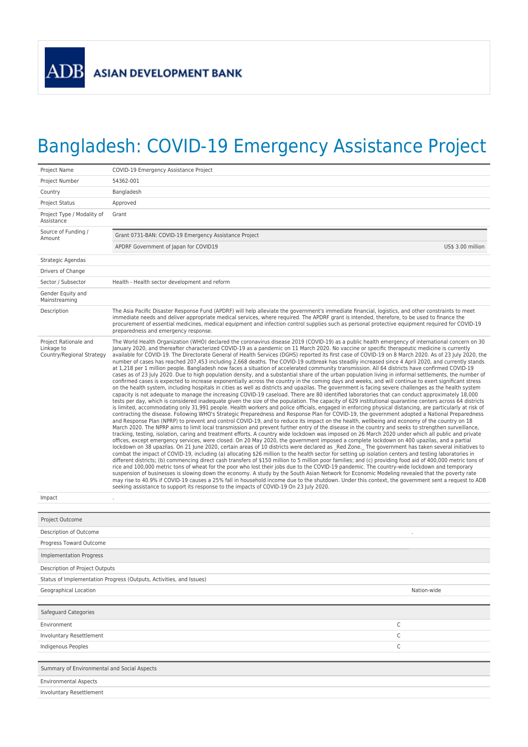## Bangladesh: COVID-19 Emergency Assistance Project

| Project Name                                                     | COVID-19 Emergency Assistance Project                                                                                                                                                                                                                                                                                                                                                                                                                                                                                                                                                                                                                                                                                                                                                                                                                                                                                                                                                                                                                                                                                                                                                                                                                                                                                                                                                                                                                                                                                                                                                                                                                                                                                                                                                                                                                                                                                                                                                                                                                                                                                                                                                                                                                                                                                                                                                                                                                                                                                                                                                                                                                                                                                                                                                                                                                                                                                                                                                                                                                                                                                                                                                                                                                                                                                                                                                                                                                                                                                   |  |  |  |  |
|------------------------------------------------------------------|-------------------------------------------------------------------------------------------------------------------------------------------------------------------------------------------------------------------------------------------------------------------------------------------------------------------------------------------------------------------------------------------------------------------------------------------------------------------------------------------------------------------------------------------------------------------------------------------------------------------------------------------------------------------------------------------------------------------------------------------------------------------------------------------------------------------------------------------------------------------------------------------------------------------------------------------------------------------------------------------------------------------------------------------------------------------------------------------------------------------------------------------------------------------------------------------------------------------------------------------------------------------------------------------------------------------------------------------------------------------------------------------------------------------------------------------------------------------------------------------------------------------------------------------------------------------------------------------------------------------------------------------------------------------------------------------------------------------------------------------------------------------------------------------------------------------------------------------------------------------------------------------------------------------------------------------------------------------------------------------------------------------------------------------------------------------------------------------------------------------------------------------------------------------------------------------------------------------------------------------------------------------------------------------------------------------------------------------------------------------------------------------------------------------------------------------------------------------------------------------------------------------------------------------------------------------------------------------------------------------------------------------------------------------------------------------------------------------------------------------------------------------------------------------------------------------------------------------------------------------------------------------------------------------------------------------------------------------------------------------------------------------------------------------------------------------------------------------------------------------------------------------------------------------------------------------------------------------------------------------------------------------------------------------------------------------------------------------------------------------------------------------------------------------------------------------------------------------------------------------------------------------------|--|--|--|--|
| Project Number                                                   | 54362-001                                                                                                                                                                                                                                                                                                                                                                                                                                                                                                                                                                                                                                                                                                                                                                                                                                                                                                                                                                                                                                                                                                                                                                                                                                                                                                                                                                                                                                                                                                                                                                                                                                                                                                                                                                                                                                                                                                                                                                                                                                                                                                                                                                                                                                                                                                                                                                                                                                                                                                                                                                                                                                                                                                                                                                                                                                                                                                                                                                                                                                                                                                                                                                                                                                                                                                                                                                                                                                                                                                               |  |  |  |  |
| Country                                                          | Bangladesh                                                                                                                                                                                                                                                                                                                                                                                                                                                                                                                                                                                                                                                                                                                                                                                                                                                                                                                                                                                                                                                                                                                                                                                                                                                                                                                                                                                                                                                                                                                                                                                                                                                                                                                                                                                                                                                                                                                                                                                                                                                                                                                                                                                                                                                                                                                                                                                                                                                                                                                                                                                                                                                                                                                                                                                                                                                                                                                                                                                                                                                                                                                                                                                                                                                                                                                                                                                                                                                                                                              |  |  |  |  |
| <b>Project Status</b>                                            | Approved                                                                                                                                                                                                                                                                                                                                                                                                                                                                                                                                                                                                                                                                                                                                                                                                                                                                                                                                                                                                                                                                                                                                                                                                                                                                                                                                                                                                                                                                                                                                                                                                                                                                                                                                                                                                                                                                                                                                                                                                                                                                                                                                                                                                                                                                                                                                                                                                                                                                                                                                                                                                                                                                                                                                                                                                                                                                                                                                                                                                                                                                                                                                                                                                                                                                                                                                                                                                                                                                                                                |  |  |  |  |
| Project Type / Modality of<br>Assistance                         | Grant                                                                                                                                                                                                                                                                                                                                                                                                                                                                                                                                                                                                                                                                                                                                                                                                                                                                                                                                                                                                                                                                                                                                                                                                                                                                                                                                                                                                                                                                                                                                                                                                                                                                                                                                                                                                                                                                                                                                                                                                                                                                                                                                                                                                                                                                                                                                                                                                                                                                                                                                                                                                                                                                                                                                                                                                                                                                                                                                                                                                                                                                                                                                                                                                                                                                                                                                                                                                                                                                                                                   |  |  |  |  |
| Source of Funding /<br>Amount                                    | Grant 0731-BAN: COVID-19 Emergency Assistance Project                                                                                                                                                                                                                                                                                                                                                                                                                                                                                                                                                                                                                                                                                                                                                                                                                                                                                                                                                                                                                                                                                                                                                                                                                                                                                                                                                                                                                                                                                                                                                                                                                                                                                                                                                                                                                                                                                                                                                                                                                                                                                                                                                                                                                                                                                                                                                                                                                                                                                                                                                                                                                                                                                                                                                                                                                                                                                                                                                                                                                                                                                                                                                                                                                                                                                                                                                                                                                                                                   |  |  |  |  |
|                                                                  | US\$ 3.00 million<br>APDRF Government of Japan for COVID19                                                                                                                                                                                                                                                                                                                                                                                                                                                                                                                                                                                                                                                                                                                                                                                                                                                                                                                                                                                                                                                                                                                                                                                                                                                                                                                                                                                                                                                                                                                                                                                                                                                                                                                                                                                                                                                                                                                                                                                                                                                                                                                                                                                                                                                                                                                                                                                                                                                                                                                                                                                                                                                                                                                                                                                                                                                                                                                                                                                                                                                                                                                                                                                                                                                                                                                                                                                                                                                              |  |  |  |  |
| Strategic Agendas                                                |                                                                                                                                                                                                                                                                                                                                                                                                                                                                                                                                                                                                                                                                                                                                                                                                                                                                                                                                                                                                                                                                                                                                                                                                                                                                                                                                                                                                                                                                                                                                                                                                                                                                                                                                                                                                                                                                                                                                                                                                                                                                                                                                                                                                                                                                                                                                                                                                                                                                                                                                                                                                                                                                                                                                                                                                                                                                                                                                                                                                                                                                                                                                                                                                                                                                                                                                                                                                                                                                                                                         |  |  |  |  |
| Drivers of Change                                                |                                                                                                                                                                                                                                                                                                                                                                                                                                                                                                                                                                                                                                                                                                                                                                                                                                                                                                                                                                                                                                                                                                                                                                                                                                                                                                                                                                                                                                                                                                                                                                                                                                                                                                                                                                                                                                                                                                                                                                                                                                                                                                                                                                                                                                                                                                                                                                                                                                                                                                                                                                                                                                                                                                                                                                                                                                                                                                                                                                                                                                                                                                                                                                                                                                                                                                                                                                                                                                                                                                                         |  |  |  |  |
| Sector / Subsector                                               | Health - Health sector development and reform                                                                                                                                                                                                                                                                                                                                                                                                                                                                                                                                                                                                                                                                                                                                                                                                                                                                                                                                                                                                                                                                                                                                                                                                                                                                                                                                                                                                                                                                                                                                                                                                                                                                                                                                                                                                                                                                                                                                                                                                                                                                                                                                                                                                                                                                                                                                                                                                                                                                                                                                                                                                                                                                                                                                                                                                                                                                                                                                                                                                                                                                                                                                                                                                                                                                                                                                                                                                                                                                           |  |  |  |  |
| Gender Equity and<br>Mainstreaming                               |                                                                                                                                                                                                                                                                                                                                                                                                                                                                                                                                                                                                                                                                                                                                                                                                                                                                                                                                                                                                                                                                                                                                                                                                                                                                                                                                                                                                                                                                                                                                                                                                                                                                                                                                                                                                                                                                                                                                                                                                                                                                                                                                                                                                                                                                                                                                                                                                                                                                                                                                                                                                                                                                                                                                                                                                                                                                                                                                                                                                                                                                                                                                                                                                                                                                                                                                                                                                                                                                                                                         |  |  |  |  |
| Description                                                      | The Asia Pacific Disaster Response Fund (APDRF) will help alleviate the government's immediate financial, logistics, and other constraints to meet<br>immediate needs and deliver appropriate medical services, where required. The APDRF grant is intended, therefore, to be used to finance the<br>procurement of essential medicines, medical equipment and infection control supplies such as personal protective equipment required for COVID-19<br>preparedness and emergency response.                                                                                                                                                                                                                                                                                                                                                                                                                                                                                                                                                                                                                                                                                                                                                                                                                                                                                                                                                                                                                                                                                                                                                                                                                                                                                                                                                                                                                                                                                                                                                                                                                                                                                                                                                                                                                                                                                                                                                                                                                                                                                                                                                                                                                                                                                                                                                                                                                                                                                                                                                                                                                                                                                                                                                                                                                                                                                                                                                                                                                           |  |  |  |  |
| Project Rationale and<br>Linkage to<br>Country/Regional Strategy | The World Health Organization (WHO) declared the coronavirus disease 2019 (COVID-19) as a public health emergency of international concern on 30<br>January 2020, and thereafter characterized COVID-19 as a pandemic on 11 March 2020. No vaccine or specific therapeutic medicine is currently<br>available for COVID-19. The Directorate General of Health Services (DGHS) reported its first case of COVID-19 on 8 March 2020. As of 23 July 2020, the<br>number of cases has reached 207,453 including 2,668 deaths. The COVID-19 outbreak has steadily increased since 4 April 2020, and currently stands<br>at 1,218 per 1 million people. Bangladesh now faces a situation of accelerated community transmission. All 64 districts have confirmed COVID-19<br>cases as of 23 July 2020. Due to high population density, and a substantial share of the urban population living in informal settlements, the number of<br>confirmed cases is expected to increase exponentially across the country in the coming days and weeks, and will continue to exert significant stress<br>on the health system, including hospitals in cities as well as districts and upazilas. The government is facing severe challenges as the health system<br>capacity is not adequate to manage the increasing COVID-19 caseload. There are 80 identified laboratories that can conduct approximately 18,000<br>tests per day, which is considered inadequate given the size of the population. The capacity of 629 institutional quarantine centers across 64 districts<br>is limited, accommodating only 31,991 people. Health workers and police officials, engaged in enforcing physical distancing, are particularly at risk of<br>contracting the disease. Following WHO's Strategic Preparedness and Response Plan for COVID-19, the government adopted a National Preparedness<br>and Response Plan (NPRP) to prevent and control COVID-19, and to reduce its impact on the health, wellbeing and economy of the country on 18<br>March 2020. The NPRP aims to limit local transmission and prevent further entry of the disease in the country and seeks to strengthen surveillance,<br>tracking, testing, isolation, caring and treatment efforts. A country wide lockdown was imposed on 26 March 2020 under which all public and private<br>offices, except emergency services, were closed. On 20 May 2020, the government imposed a complete lockdown on 400 upazilas, and a partial<br>lockdown on 38 upazilas. On 21 June 2020, certain areas of 10 districts were declared as Red Zone. The government has taken several initiatives to<br>combat the impact of COVID-19, including (a) allocating \$26 million to the health sector for setting up isolation centers and testing laboratories in<br>different districts; (b) commencing direct cash transfers of \$150 million to 5 million poor families; and (c) providing food aid of 400,000 metric tons of<br>rice and 100,000 metric tons of wheat for the poor who lost their jobs due to the COVID-19 pandemic. The country-wide lockdown and temporary<br>suspension of businesses is slowing down the economy. A study by the South Asian Network for Economic Modeling revealed that the poverty rate<br>may rise to 40.9% if COVID-19 causes a 25% fall in household income due to the shutdown. Under this context, the government sent a request to ADB<br>seeking assistance to support its response to the impacts of COVID-19 On 23 July 2020. |  |  |  |  |
| Impact                                                           |                                                                                                                                                                                                                                                                                                                                                                                                                                                                                                                                                                                                                                                                                                                                                                                                                                                                                                                                                                                                                                                                                                                                                                                                                                                                                                                                                                                                                                                                                                                                                                                                                                                                                                                                                                                                                                                                                                                                                                                                                                                                                                                                                                                                                                                                                                                                                                                                                                                                                                                                                                                                                                                                                                                                                                                                                                                                                                                                                                                                                                                                                                                                                                                                                                                                                                                                                                                                                                                                                                                         |  |  |  |  |
|                                                                  |                                                                                                                                                                                                                                                                                                                                                                                                                                                                                                                                                                                                                                                                                                                                                                                                                                                                                                                                                                                                                                                                                                                                                                                                                                                                                                                                                                                                                                                                                                                                                                                                                                                                                                                                                                                                                                                                                                                                                                                                                                                                                                                                                                                                                                                                                                                                                                                                                                                                                                                                                                                                                                                                                                                                                                                                                                                                                                                                                                                                                                                                                                                                                                                                                                                                                                                                                                                                                                                                                                                         |  |  |  |  |
| Project Outcome                                                  |                                                                                                                                                                                                                                                                                                                                                                                                                                                                                                                                                                                                                                                                                                                                                                                                                                                                                                                                                                                                                                                                                                                                                                                                                                                                                                                                                                                                                                                                                                                                                                                                                                                                                                                                                                                                                                                                                                                                                                                                                                                                                                                                                                                                                                                                                                                                                                                                                                                                                                                                                                                                                                                                                                                                                                                                                                                                                                                                                                                                                                                                                                                                                                                                                                                                                                                                                                                                                                                                                                                         |  |  |  |  |
| Description of Outcome                                           |                                                                                                                                                                                                                                                                                                                                                                                                                                                                                                                                                                                                                                                                                                                                                                                                                                                                                                                                                                                                                                                                                                                                                                                                                                                                                                                                                                                                                                                                                                                                                                                                                                                                                                                                                                                                                                                                                                                                                                                                                                                                                                                                                                                                                                                                                                                                                                                                                                                                                                                                                                                                                                                                                                                                                                                                                                                                                                                                                                                                                                                                                                                                                                                                                                                                                                                                                                                                                                                                                                                         |  |  |  |  |
| Progress Toward Outcome                                          |                                                                                                                                                                                                                                                                                                                                                                                                                                                                                                                                                                                                                                                                                                                                                                                                                                                                                                                                                                                                                                                                                                                                                                                                                                                                                                                                                                                                                                                                                                                                                                                                                                                                                                                                                                                                                                                                                                                                                                                                                                                                                                                                                                                                                                                                                                                                                                                                                                                                                                                                                                                                                                                                                                                                                                                                                                                                                                                                                                                                                                                                                                                                                                                                                                                                                                                                                                                                                                                                                                                         |  |  |  |  |
| <b>Implementation Progress</b>                                   |                                                                                                                                                                                                                                                                                                                                                                                                                                                                                                                                                                                                                                                                                                                                                                                                                                                                                                                                                                                                                                                                                                                                                                                                                                                                                                                                                                                                                                                                                                                                                                                                                                                                                                                                                                                                                                                                                                                                                                                                                                                                                                                                                                                                                                                                                                                                                                                                                                                                                                                                                                                                                                                                                                                                                                                                                                                                                                                                                                                                                                                                                                                                                                                                                                                                                                                                                                                                                                                                                                                         |  |  |  |  |
| Description of Project Outputs                                   |                                                                                                                                                                                                                                                                                                                                                                                                                                                                                                                                                                                                                                                                                                                                                                                                                                                                                                                                                                                                                                                                                                                                                                                                                                                                                                                                                                                                                                                                                                                                                                                                                                                                                                                                                                                                                                                                                                                                                                                                                                                                                                                                                                                                                                                                                                                                                                                                                                                                                                                                                                                                                                                                                                                                                                                                                                                                                                                                                                                                                                                                                                                                                                                                                                                                                                                                                                                                                                                                                                                         |  |  |  |  |
|                                                                  | Status of Implementation Progress (Outputs, Activities, and Issues)                                                                                                                                                                                                                                                                                                                                                                                                                                                                                                                                                                                                                                                                                                                                                                                                                                                                                                                                                                                                                                                                                                                                                                                                                                                                                                                                                                                                                                                                                                                                                                                                                                                                                                                                                                                                                                                                                                                                                                                                                                                                                                                                                                                                                                                                                                                                                                                                                                                                                                                                                                                                                                                                                                                                                                                                                                                                                                                                                                                                                                                                                                                                                                                                                                                                                                                                                                                                                                                     |  |  |  |  |
| Geographical Location                                            | Nation-wide                                                                                                                                                                                                                                                                                                                                                                                                                                                                                                                                                                                                                                                                                                                                                                                                                                                                                                                                                                                                                                                                                                                                                                                                                                                                                                                                                                                                                                                                                                                                                                                                                                                                                                                                                                                                                                                                                                                                                                                                                                                                                                                                                                                                                                                                                                                                                                                                                                                                                                                                                                                                                                                                                                                                                                                                                                                                                                                                                                                                                                                                                                                                                                                                                                                                                                                                                                                                                                                                                                             |  |  |  |  |
|                                                                  |                                                                                                                                                                                                                                                                                                                                                                                                                                                                                                                                                                                                                                                                                                                                                                                                                                                                                                                                                                                                                                                                                                                                                                                                                                                                                                                                                                                                                                                                                                                                                                                                                                                                                                                                                                                                                                                                                                                                                                                                                                                                                                                                                                                                                                                                                                                                                                                                                                                                                                                                                                                                                                                                                                                                                                                                                                                                                                                                                                                                                                                                                                                                                                                                                                                                                                                                                                                                                                                                                                                         |  |  |  |  |
| Safeguard Categories                                             |                                                                                                                                                                                                                                                                                                                                                                                                                                                                                                                                                                                                                                                                                                                                                                                                                                                                                                                                                                                                                                                                                                                                                                                                                                                                                                                                                                                                                                                                                                                                                                                                                                                                                                                                                                                                                                                                                                                                                                                                                                                                                                                                                                                                                                                                                                                                                                                                                                                                                                                                                                                                                                                                                                                                                                                                                                                                                                                                                                                                                                                                                                                                                                                                                                                                                                                                                                                                                                                                                                                         |  |  |  |  |
| Environment                                                      | C                                                                                                                                                                                                                                                                                                                                                                                                                                                                                                                                                                                                                                                                                                                                                                                                                                                                                                                                                                                                                                                                                                                                                                                                                                                                                                                                                                                                                                                                                                                                                                                                                                                                                                                                                                                                                                                                                                                                                                                                                                                                                                                                                                                                                                                                                                                                                                                                                                                                                                                                                                                                                                                                                                                                                                                                                                                                                                                                                                                                                                                                                                                                                                                                                                                                                                                                                                                                                                                                                                                       |  |  |  |  |
| Involuntary Resettlement                                         | С                                                                                                                                                                                                                                                                                                                                                                                                                                                                                                                                                                                                                                                                                                                                                                                                                                                                                                                                                                                                                                                                                                                                                                                                                                                                                                                                                                                                                                                                                                                                                                                                                                                                                                                                                                                                                                                                                                                                                                                                                                                                                                                                                                                                                                                                                                                                                                                                                                                                                                                                                                                                                                                                                                                                                                                                                                                                                                                                                                                                                                                                                                                                                                                                                                                                                                                                                                                                                                                                                                                       |  |  |  |  |
| Indigenous Peoples                                               | С                                                                                                                                                                                                                                                                                                                                                                                                                                                                                                                                                                                                                                                                                                                                                                                                                                                                                                                                                                                                                                                                                                                                                                                                                                                                                                                                                                                                                                                                                                                                                                                                                                                                                                                                                                                                                                                                                                                                                                                                                                                                                                                                                                                                                                                                                                                                                                                                                                                                                                                                                                                                                                                                                                                                                                                                                                                                                                                                                                                                                                                                                                                                                                                                                                                                                                                                                                                                                                                                                                                       |  |  |  |  |
|                                                                  |                                                                                                                                                                                                                                                                                                                                                                                                                                                                                                                                                                                                                                                                                                                                                                                                                                                                                                                                                                                                                                                                                                                                                                                                                                                                                                                                                                                                                                                                                                                                                                                                                                                                                                                                                                                                                                                                                                                                                                                                                                                                                                                                                                                                                                                                                                                                                                                                                                                                                                                                                                                                                                                                                                                                                                                                                                                                                                                                                                                                                                                                                                                                                                                                                                                                                                                                                                                                                                                                                                                         |  |  |  |  |
| Summary of Environmental and Social Aspects                      |                                                                                                                                                                                                                                                                                                                                                                                                                                                                                                                                                                                                                                                                                                                                                                                                                                                                                                                                                                                                                                                                                                                                                                                                                                                                                                                                                                                                                                                                                                                                                                                                                                                                                                                                                                                                                                                                                                                                                                                                                                                                                                                                                                                                                                                                                                                                                                                                                                                                                                                                                                                                                                                                                                                                                                                                                                                                                                                                                                                                                                                                                                                                                                                                                                                                                                                                                                                                                                                                                                                         |  |  |  |  |
| <b>Environmental Aspects</b>                                     |                                                                                                                                                                                                                                                                                                                                                                                                                                                                                                                                                                                                                                                                                                                                                                                                                                                                                                                                                                                                                                                                                                                                                                                                                                                                                                                                                                                                                                                                                                                                                                                                                                                                                                                                                                                                                                                                                                                                                                                                                                                                                                                                                                                                                                                                                                                                                                                                                                                                                                                                                                                                                                                                                                                                                                                                                                                                                                                                                                                                                                                                                                                                                                                                                                                                                                                                                                                                                                                                                                                         |  |  |  |  |
| Involuntary Resettlement                                         |                                                                                                                                                                                                                                                                                                                                                                                                                                                                                                                                                                                                                                                                                                                                                                                                                                                                                                                                                                                                                                                                                                                                                                                                                                                                                                                                                                                                                                                                                                                                                                                                                                                                                                                                                                                                                                                                                                                                                                                                                                                                                                                                                                                                                                                                                                                                                                                                                                                                                                                                                                                                                                                                                                                                                                                                                                                                                                                                                                                                                                                                                                                                                                                                                                                                                                                                                                                                                                                                                                                         |  |  |  |  |